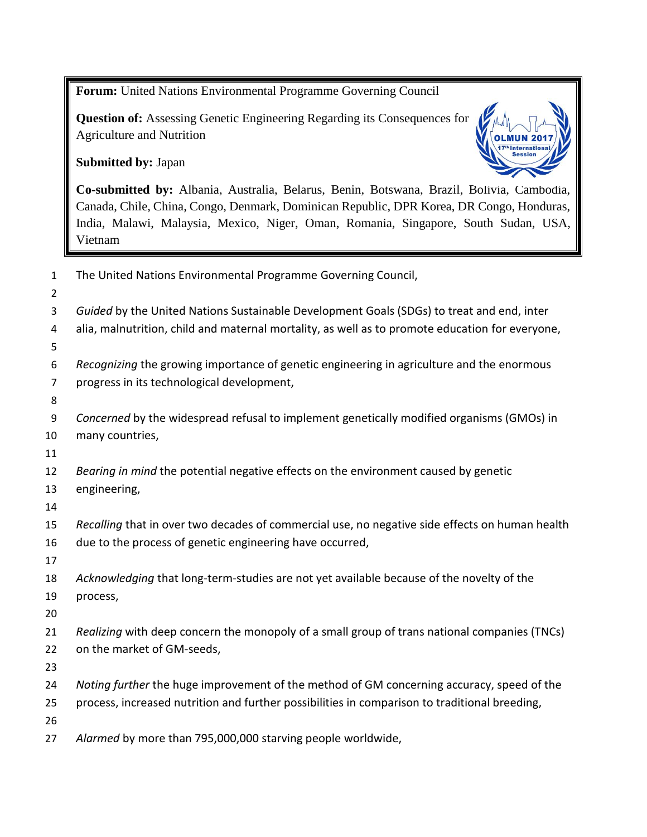**Forum:** United Nations Environmental Programme Governing Council **Question of:** Assessing Genetic Engineering Regarding its Consequences for Agriculture and Nutrition **Submitted by:** Japan **Co-submitted by:** Albania, Australia, Belarus, Benin, Botswana, Brazil, Bolivia, Cambodia, Canada, Chile, China, Congo, Denmark, Dominican Republic, DPR Korea, DR Congo, Honduras, India, Malawi, Malaysia, Mexico, Niger, Oman, Romania, Singapore, South Sudan, USA, Vietnam The United Nations Environmental Programme Governing Council, *Guided* by the United Nations Sustainable Development Goals (SDGs) to treat and end, inter alia, malnutrition, child and maternal mortality, as well as to promote education for everyone, *Recognizing* the growing importance of genetic engineering in agriculture and the enormous progress in its technological development, *Concerned* by the widespread refusal to implement genetically modified organisms (GMOs) in many countries, *Bearing in mind* the potential negative effects on the environment caused by genetic engineering, *Recalling* that in over two decades of commercial use, no negative side effects on human health due to the process of genetic engineering have occurred, *Acknowledging* that long-term-studies are not yet available because of the novelty of the process, *Realizing* with deep concern the monopoly of a small group of trans national companies (TNCs) on the market of GM-seeds, *Noting further* the huge improvement of the method of GM concerning accuracy, speed of the process, increased nutrition and further possibilities in comparison to traditional breeding, *Alarmed* by more than 795,000,000 starving people worldwide,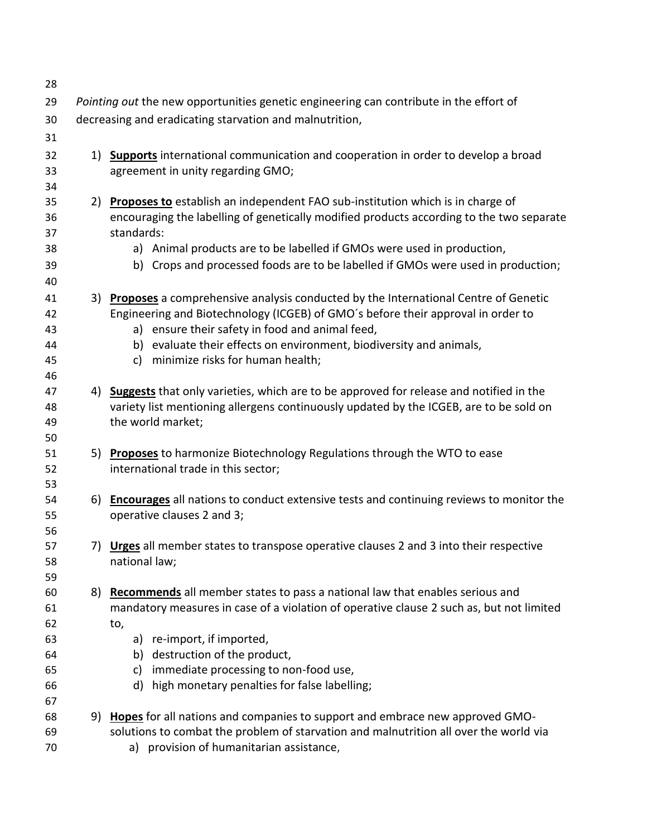| 28       |                                                                                        |                                                                                                                          |  |  |  |
|----------|----------------------------------------------------------------------------------------|--------------------------------------------------------------------------------------------------------------------------|--|--|--|
| 29       | Pointing out the new opportunities genetic engineering can contribute in the effort of |                                                                                                                          |  |  |  |
| 30       | decreasing and eradicating starvation and malnutrition,                                |                                                                                                                          |  |  |  |
| 31       |                                                                                        |                                                                                                                          |  |  |  |
| 32<br>33 |                                                                                        | 1) Supports international communication and cooperation in order to develop a broad<br>agreement in unity regarding GMO; |  |  |  |
| 34       |                                                                                        |                                                                                                                          |  |  |  |
| 35       |                                                                                        | 2) Proposes to establish an independent FAO sub-institution which is in charge of                                        |  |  |  |
| 36       |                                                                                        | encouraging the labelling of genetically modified products according to the two separate                                 |  |  |  |
| 37       |                                                                                        | standards:                                                                                                               |  |  |  |
| 38       |                                                                                        | a) Animal products are to be labelled if GMOs were used in production,                                                   |  |  |  |
| 39<br>40 |                                                                                        | b) Crops and processed foods are to be labelled if GMOs were used in production;                                         |  |  |  |
| 41       |                                                                                        | 3) Proposes a comprehensive analysis conducted by the International Centre of Genetic                                    |  |  |  |
| 42       |                                                                                        | Engineering and Biotechnology (ICGEB) of GMO's before their approval in order to                                         |  |  |  |
| 43       |                                                                                        | a) ensure their safety in food and animal feed,                                                                          |  |  |  |
| 44       |                                                                                        | b) evaluate their effects on environment, biodiversity and animals,                                                      |  |  |  |
| 45       |                                                                                        | c) minimize risks for human health;                                                                                      |  |  |  |
| 46       |                                                                                        |                                                                                                                          |  |  |  |
| 47       |                                                                                        | 4) Suggests that only varieties, which are to be approved for release and notified in the                                |  |  |  |
| 48       |                                                                                        | variety list mentioning allergens continuously updated by the ICGEB, are to be sold on                                   |  |  |  |
| 49       |                                                                                        | the world market;                                                                                                        |  |  |  |
| 50       |                                                                                        |                                                                                                                          |  |  |  |
| 51       |                                                                                        | 5) Proposes to harmonize Biotechnology Regulations through the WTO to ease                                               |  |  |  |
| 52       |                                                                                        | international trade in this sector;                                                                                      |  |  |  |
| 53       |                                                                                        |                                                                                                                          |  |  |  |
| 54       |                                                                                        | 6) Encourages all nations to conduct extensive tests and continuing reviews to monitor the                               |  |  |  |
| 55       |                                                                                        | operative clauses 2 and 3;                                                                                               |  |  |  |
| 56<br>57 |                                                                                        | 7) Urges all member states to transpose operative clauses 2 and 3 into their respective                                  |  |  |  |
| 58       |                                                                                        | national law;                                                                                                            |  |  |  |
| 59       |                                                                                        |                                                                                                                          |  |  |  |
| 60       | 8)                                                                                     | <b>Recommends</b> all member states to pass a national law that enables serious and                                      |  |  |  |
| 61       |                                                                                        | mandatory measures in case of a violation of operative clause 2 such as, but not limited                                 |  |  |  |
| 62       |                                                                                        | to,                                                                                                                      |  |  |  |
| 63       |                                                                                        | a) re-import, if imported,                                                                                               |  |  |  |
| 64       |                                                                                        | b) destruction of the product,                                                                                           |  |  |  |
| 65       |                                                                                        | immediate processing to non-food use,<br>c)                                                                              |  |  |  |
| 66       |                                                                                        | high monetary penalties for false labelling;<br>d)                                                                       |  |  |  |
| 67       |                                                                                        |                                                                                                                          |  |  |  |
| 68       | 9)                                                                                     | Hopes for all nations and companies to support and embrace new approved GMO-                                             |  |  |  |
| 69       |                                                                                        | solutions to combat the problem of starvation and malnutrition all over the world via                                    |  |  |  |
| 70       |                                                                                        | a) provision of humanitarian assistance,                                                                                 |  |  |  |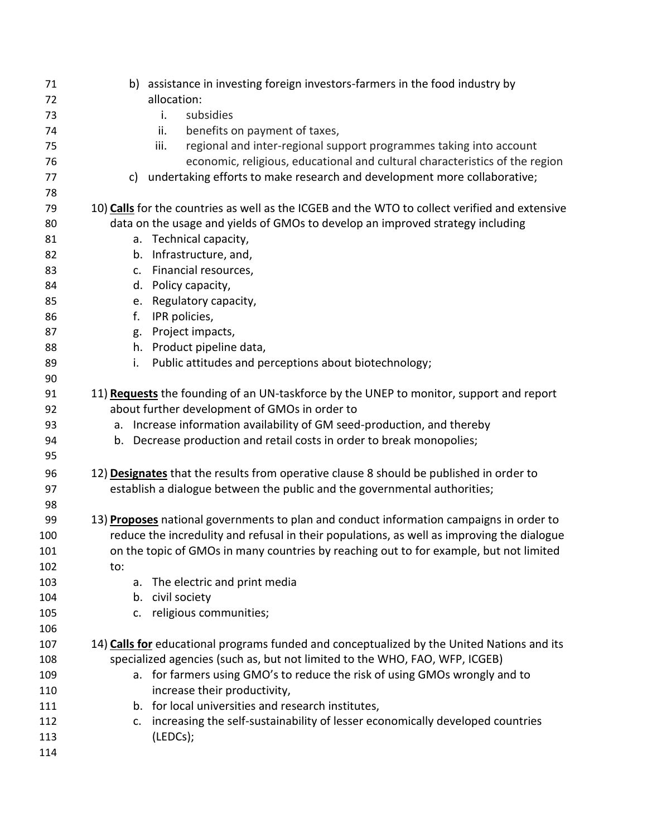| 71  |                | b) assistance in investing foreign investors-farmers in the food industry by                   |
|-----|----------------|------------------------------------------------------------------------------------------------|
| 72  |                | allocation:                                                                                    |
| 73  |                | subsidies<br>i.                                                                                |
| 74  |                | benefits on payment of taxes,<br>ii.                                                           |
| 75  |                | regional and inter-regional support programmes taking into account<br>iii.                     |
| 76  |                | economic, religious, educational and cultural characteristics of the region                    |
| 77  | c)             | undertaking efforts to make research and development more collaborative;                       |
| 78  |                |                                                                                                |
| 79  |                | 10) Calls for the countries as well as the ICGEB and the WTO to collect verified and extensive |
| 80  |                | data on the usage and yields of GMOs to develop an improved strategy including                 |
| 81  |                | a. Technical capacity,                                                                         |
| 82  |                | b. Infrastructure, and,                                                                        |
| 83  | $\mathsf{C}$ . | Financial resources,                                                                           |
| 84  |                | d. Policy capacity,                                                                            |
| 85  |                | e. Regulatory capacity,                                                                        |
| 86  | f.             | IPR policies,                                                                                  |
| 87  |                | g. Project impacts,                                                                            |
| 88  |                | h. Product pipeline data,                                                                      |
| 89  | i.             | Public attitudes and perceptions about biotechnology;                                          |
| 90  |                |                                                                                                |
| 91  |                | 11) Requests the founding of an UN-taskforce by the UNEP to monitor, support and report        |
| 92  |                | about further development of GMOs in order to                                                  |
| 93  |                | a. Increase information availability of GM seed-production, and thereby                        |
| 94  |                | b. Decrease production and retail costs in order to break monopolies;                          |
| 95  |                |                                                                                                |
| 96  |                | 12) Designates that the results from operative clause 8 should be published in order to        |
| 97  |                | establish a dialogue between the public and the governmental authorities;                      |
| 98  |                |                                                                                                |
| 99  |                | 13) Proposes national governments to plan and conduct information campaigns in order to        |
| 100 |                | reduce the incredulity and refusal in their populations, as well as improving the dialogue     |
| 101 |                | on the topic of GMOs in many countries by reaching out to for example, but not limited         |
| 102 | to:            |                                                                                                |
| 103 |                | a. The electric and print media                                                                |
| 104 |                | b. civil society                                                                               |
| 105 |                | c. religious communities;                                                                      |
| 106 |                |                                                                                                |
| 107 |                | 14) Calls for educational programs funded and conceptualized by the United Nations and its     |
| 108 |                | specialized agencies (such as, but not limited to the WHO, FAO, WFP, ICGEB)                    |
| 109 |                | a. for farmers using GMO's to reduce the risk of using GMOs wrongly and to                     |
| 110 |                | increase their productivity,                                                                   |
| 111 |                | b. for local universities and research institutes,                                             |
| 112 | c.             | increasing the self-sustainability of lesser economically developed countries                  |
| 113 |                | (LEDCs);                                                                                       |
| 114 |                |                                                                                                |